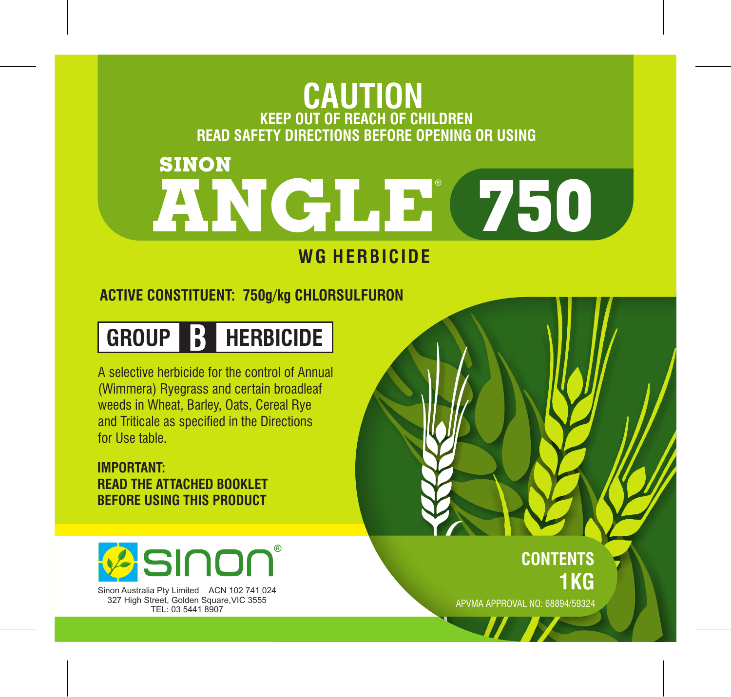# **KEEP OUT OF REACH OF CHILDREN CAUTION READ SAFETY DIRECTIONS BEFORE OPENING OR USING**

# **ANGLE 750** ® **SINON**

## **WG HERBICIDE**

### **ACTIVE CONSTITUENT: 750g/kg CHLORSULFURON**

## **GROUP B HERBICIDE**

A selective herbicide for the control of Annual (Wimmera) Ryegrass and certain broadleaf weeds in Wheat, Barley, Oats, Cereal Rye and Triticale as specified in the Directions for Use table.

#### **IMPORTANT: READ THE ATTACHED BOOKLET BEFORE USING THIS PRODUCT**



Sinon Australia Pty Limited ACN 102 741 024 327 High Street, Golden Square, VIC 3555 TEL: 03 5441 8907

**CONTENTS 1KG**

APVMA APPROVAL NO: 68894/59324